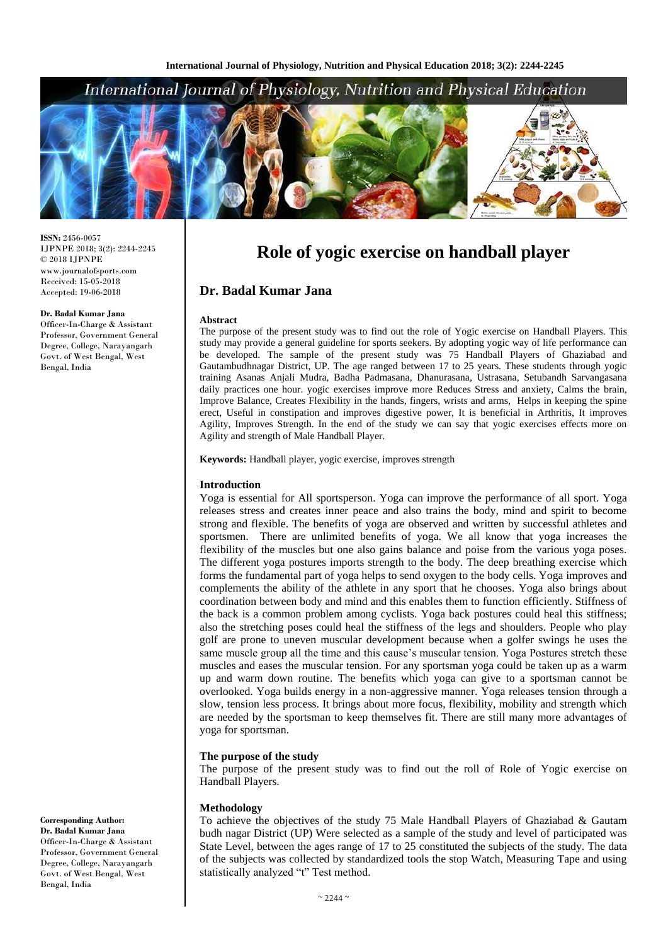# International Journal of Physiology, Nutrition and Physical Education



**ISSN:** 2456-0057 IJPNPE 2018; 3(2): 2244-2245  $\odot$  2018 IJPNPE www.journalofsports.com Received: 15-05-2018 Accepted: 19-06-2018

## **Dr. Badal Kumar Jana**

Officer-In-Charge & Assistant Professor, Government General Degree, College, Narayangarh Govt. of West Bengal, West Bengal, India

**Keywords:** Handball player, yogic exercise, improves strength

Agility and strength of Male Handball Player.

## **Introduction**

**Abstract**

**Dr. Badal Kumar Jana**

Yoga is essential for All sportsperson. Yoga can improve the performance of all sport. Yoga releases stress and creates inner peace and also trains the body, mind and spirit to become strong and flexible. The benefits of yoga are observed and written by successful athletes and sportsmen. There are unlimited benefits of yoga. We all know that yoga increases the flexibility of the muscles but one also gains balance and poise from the various yoga poses. The different yoga postures imports strength to the body. The deep breathing exercise which forms the fundamental part of yoga helps to send oxygen to the body cells. Yoga improves and complements the ability of the athlete in any sport that he chooses. Yoga also brings about coordination between body and mind and this enables them to function efficiently. Stiffness of the back is a common problem among cyclists. Yoga back postures could heal this stiffness; also the stretching poses could heal the stiffness of the legs and shoulders. People who play golf are prone to uneven muscular development because when a golfer swings he uses the same muscle group all the time and this cause's muscular tension. Yoga Postures stretch these muscles and eases the muscular tension. For any sportsman yoga could be taken up as a warm up and warm down routine. The benefits which yoga can give to a sportsman cannot be overlooked. Yoga builds energy in a non-aggressive manner. Yoga releases tension through a slow, tension less process. It brings about more focus, flexibility, mobility and strength which are needed by the sportsman to keep themselves fit. There are still many more advantages of yoga for sportsman.

**Role of yogic exercise on handball player**

The purpose of the present study was to find out the role of Yogic exercise on Handball Players. This study may provide a general guideline for sports seekers. By adopting yogic way of life performance can be developed. The sample of the present study was 75 Handball Players of Ghaziabad and Gautambudhnagar District, UP. The age ranged between 17 to 25 years. These students through yogic training Asanas Anjali Mudra, Badha Padmasana, Dhanurasana, Ustrasana, Setubandh Sarvangasana daily practices one hour. yogic exercises improve more Reduces Stress and anxiety, Calms the brain, Improve Balance, Creates Flexibility in the hands, fingers, wrists and arms, Helps in keeping the spine erect, Useful in constipation and improves digestive power, It is beneficial in Arthritis, It improves Agility, Improves Strength. In the end of the study we can say that yogic exercises effects more on

### **The purpose of the study**

The purpose of the present study was to find out the roll of Role of Yogic exercise on Handball Players.

#### **Methodology**

To achieve the objectives of the study 75 Male Handball Players of Ghaziabad & Gautam budh nagar District (UP) Were selected as a sample of the study and level of participated was State Level, between the ages range of 17 to 25 constituted the subjects of the study. The data of the subjects was collected by standardized tools the stop Watch, Measuring Tape and using statistically analyzed "t" Test method.

**Corresponding Author: Dr. Badal Kumar Jana** Officer-In-Charge & Assistant Professor, Government General Degree, College, Narayangarh Govt. of West Bengal, West Bengal, India